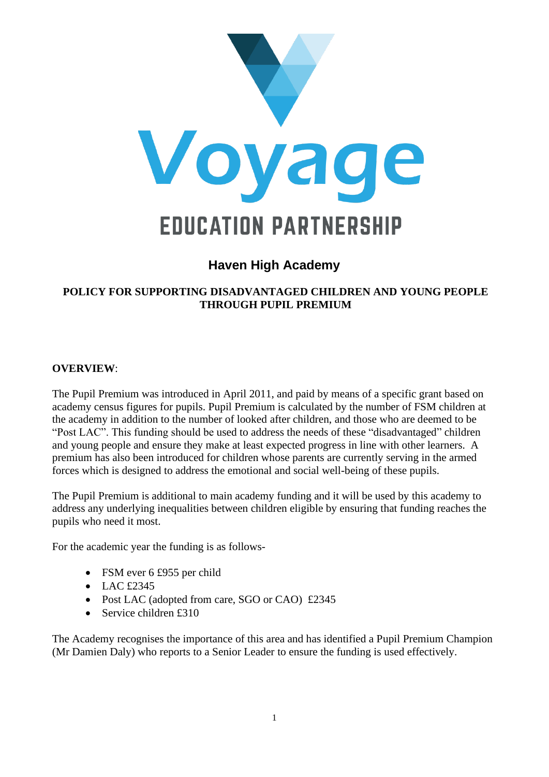

# **Haven High Academy**

#### **POLICY FOR SUPPORTING DISADVANTAGED CHILDREN AND YOUNG PEOPLE THROUGH PUPIL PREMIUM**

#### **OVERVIEW**:

The Pupil Premium was introduced in April 2011, and paid by means of a specific grant based on academy census figures for pupils. Pupil Premium is calculated by the number of FSM children at the academy in addition to the number of looked after children, and those who are deemed to be "Post LAC". This funding should be used to address the needs of these "disadvantaged" children and young people and ensure they make at least expected progress in line with other learners. A premium has also been introduced for children whose parents are currently serving in the armed forces which is designed to address the emotional and social well-being of these pupils.

The Pupil Premium is additional to main academy funding and it will be used by this academy to address any underlying inequalities between children eligible by ensuring that funding reaches the pupils who need it most.

For the academic year the funding is as follows-

- FSM ever 6 £955 per child
- LAC £2345
- Post LAC (adopted from care, SGO or CAO) £2345
- Service children £310

The Academy recognises the importance of this area and has identified a Pupil Premium Champion (Mr Damien Daly) who reports to a Senior Leader to ensure the funding is used effectively.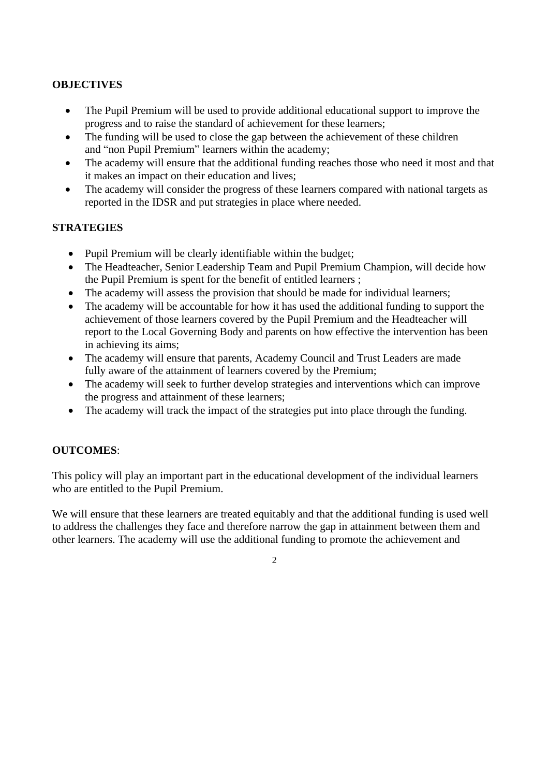#### **OBJECTIVES**

- The Pupil Premium will be used to provide additional educational support to improve the progress and to raise the standard of achievement for these learners;
- The funding will be used to close the gap between the achievement of these children and "non Pupil Premium" learners within the academy;
- The academy will ensure that the additional funding reaches those who need it most and that it makes an impact on their education and lives;
- The academy will consider the progress of these learners compared with national targets as reported in the IDSR and put strategies in place where needed.

#### **STRATEGIES**

- Pupil Premium will be clearly identifiable within the budget;
- The Headteacher, Senior Leadership Team and Pupil Premium Champion, will decide how the Pupil Premium is spent for the benefit of entitled learners ;
- The academy will assess the provision that should be made for individual learners;
- The academy will be accountable for how it has used the additional funding to support the achievement of those learners covered by the Pupil Premium and the Headteacher will report to the Local Governing Body and parents on how effective the intervention has been in achieving its aims;
- The academy will ensure that parents, Academy Council and Trust Leaders are made fully aware of the attainment of learners covered by the Premium;
- The academy will seek to further develop strategies and interventions which can improve the progress and attainment of these learners;
- The academy will track the impact of the strategies put into place through the funding.

## **OUTCOMES**:

This policy will play an important part in the educational development of the individual learners who are entitled to the Pupil Premium.

We will ensure that these learners are treated equitably and that the additional funding is used well to address the challenges they face and therefore narrow the gap in attainment between them and other learners. The academy will use the additional funding to promote the achievement and

#### $\overline{2}$